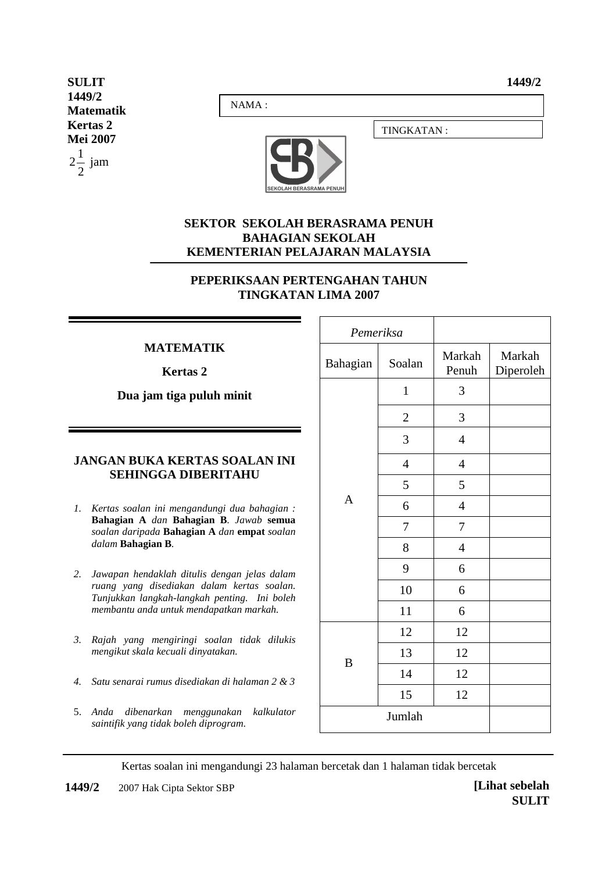**1449/2** 

**SULIT 1449/2 Matematik Kertas 2 Mei 2007** 2  $2\frac{1}{2}$  jam

NAMA :



## **SEKTOR SEKOLAH BERASRAMA PENUH BAHAGIAN SEKOLAH KEMENTERIAN PELAJARAN MALAYSIA**

## **PEPERIKSAAN PERTENGAHAN TAHUN TINGKATAN LIMA 2007**

## **MATEMATIK**

**Kertas 2** 

**Dua jam tiga puluh minit**

## **JANGAN BUKA KERTAS SOALAN INI SEHINGGA DIBERITAHU**

- *1. Kertas soalan ini mengandungi dua bahagian :*  **Bahagian A** *dan* **Bahagian B***. Jawab* **semua** *soalan daripada* **Bahagian A** *dan* **empat** *soalan dalam* **Bahagian B***.*
- *2. Jawapan hendaklah ditulis dengan jelas dalam ruang yang disediakan dalam kertas soalan. Tunjukkan langkah-langkah penting. Ini boleh membantu anda untuk mendapatkan markah.*
- *3. Rajah yang mengiringi soalan tidak dilukis mengikut skala kecuali dinyatakan.*
- *4. Satu senarai rumus disediakan di halaman 2 & 3*
- 5. *Anda dibenarkan menggunakan kalkulator*   $s$ aintifik yang tidak boleh diprogram.

| Pemeriksa |                |                |                     |
|-----------|----------------|----------------|---------------------|
| Bahagian  | Soalan         |                | Markah<br>Diperoleh |
|           | $\mathbf{1}$   | 3              |                     |
|           | $\overline{c}$ | 3              |                     |
|           | $\mathfrak{Z}$ | $\overline{4}$ |                     |
|           | $\overline{4}$ | $\overline{4}$ |                     |
|           | 5              | 5              |                     |
| A         | 6              | $\overline{4}$ |                     |
|           | $\tau$         | $\tau$         |                     |
|           | 8              | $\overline{4}$ |                     |
|           | 9              | 6              |                     |
|           | 10             | 6              |                     |
|           | 11             | 6              |                     |
|           | 12             | 12             |                     |
| B         | 13             | 12             |                     |
|           | 14             | 12             |                     |
|           | 15             | 12             |                     |
|           | Jumlah         |                |                     |

TINGKATAN :

Kertas soalan ini mengandungi 23 halaman bercetak dan 1 halaman tidak bercetak

**1449/2 © 2007 Hak Cipta Sektor SBP** *[Lihat sebelah**[Lihat sebelah***]**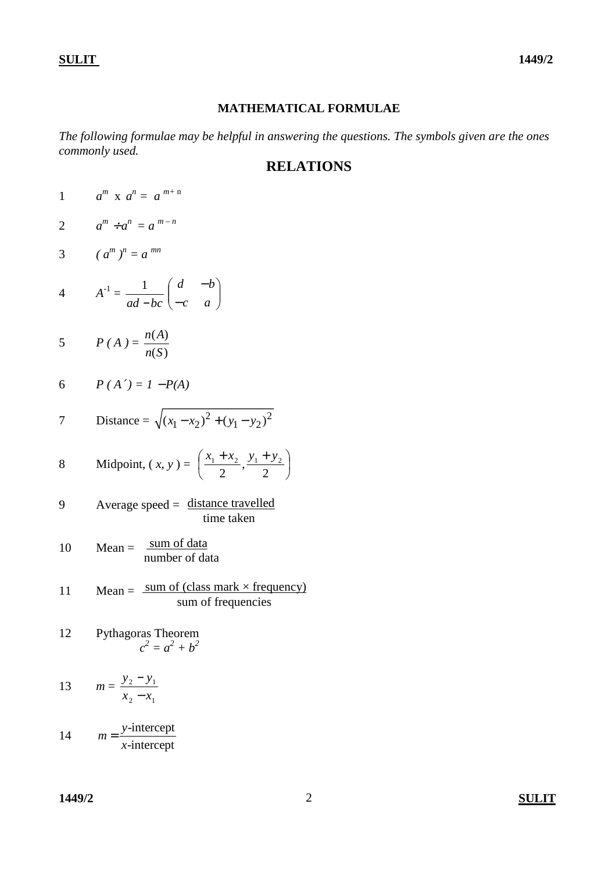### **MATHEMATICAL FORMULAE**

*The following formulae may be helpful in answering the questions. The symbols given are the ones commonly used.* 

# **RELATIONS**

- 1  $a^m$  x  $a^n = a^{m+n}$
- 2  $a^m \div a^n = a^{m-n}$
- 3  $(a^m)^n = a^{mn}$
- 4  $A^{-1} =$ *ad* −*bc* 1  $\overline{\phantom{a}}$ J  $\backslash$  $\mathsf{I}$ l ſ − − *c a d b*

$$
5 \qquad P(A) = \frac{n(A)}{n(S)}
$$

$$
6 \qquad P(A') = I - P(A)
$$

7 Distance = 
$$
\sqrt{(x_1 - x_2)^2 + (y_1 - y_2)^2}
$$

8 Midpoint, 
$$
(x, y) = \left(\frac{x_1 + x_2}{2}, \frac{y_1 + y_2}{2}\right)
$$

$$
9 \qquad \text{Average speed} = \frac{\text{distance travelled}}{\text{time taken}}
$$

$$
10 \qquad \text{Mean} = \frac{\text{sum of data}}{\text{number of data}}
$$

$$
11 \tMean = \frac{sum\ of\ (class\ mark \times frequency)}{sum\ of\ frequencies}
$$

12 Pythagoras Theorem  

$$
c^2 = a^2 + b^2
$$

13 
$$
m = \frac{y_2 - y_1}{x_2 - x_1}
$$

14 
$$
m = \frac{y\text{-intercept}}{x\text{-intercept}}
$$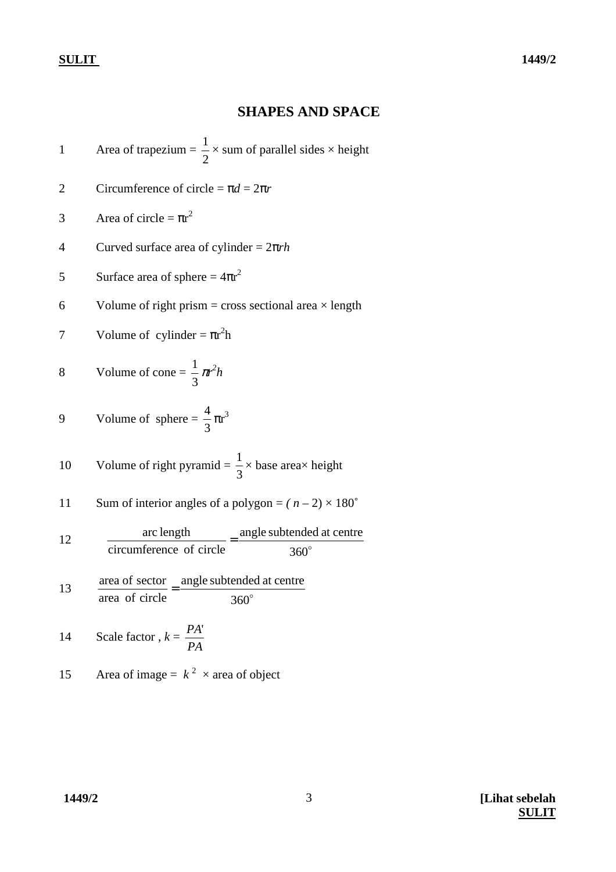## **SHAPES AND SPACE**

1 Area of trapezium = 2  $\frac{1}{2}$  × sum of parallel sides × height

- 2 Circumference of circle =  $\pi d = 2\pi r$
- 3 Area of circle =  $\pi r^2$
- 4 Curved surface area of cylinder = 2π*rh*
- 5 Surface area of sphere =  $4\pi r^2$
- 6 Volume of right prism = cross sectional area  $\times$  length

7 Volume of cylinder = 
$$
\pi r^2 h
$$

8 Volume of cone = 
$$
\frac{1}{3} \pi^2 h
$$

9 Volume of sphere 
$$
=
$$
  $\frac{4}{3} \pi r^3$ 

10 Volume of right pyramid = 
$$
\frac{1}{3}
$$
 × base area × height

11 Sum of interior angles of a polygon = 
$$
(n-2) \times 180^{\circ}
$$

12 
$$
\frac{\text{arc length}}{\text{circumference of circle}} = \frac{\text{angle subtended at centre}}{360^{\circ}}
$$

13  $\frac{\text{area of sector}}{\text{arctan} + \text{angle subtended at centre}}$ area of circle 360  $=\frac{m_{\rm g}^2E \sin(i\theta)\cos(i\theta)}{250^\circ}$ 

14 Scale factor, 
$$
k = \frac{PA'}{PA}
$$

15 Area of image =  $k^2 \times$  area of object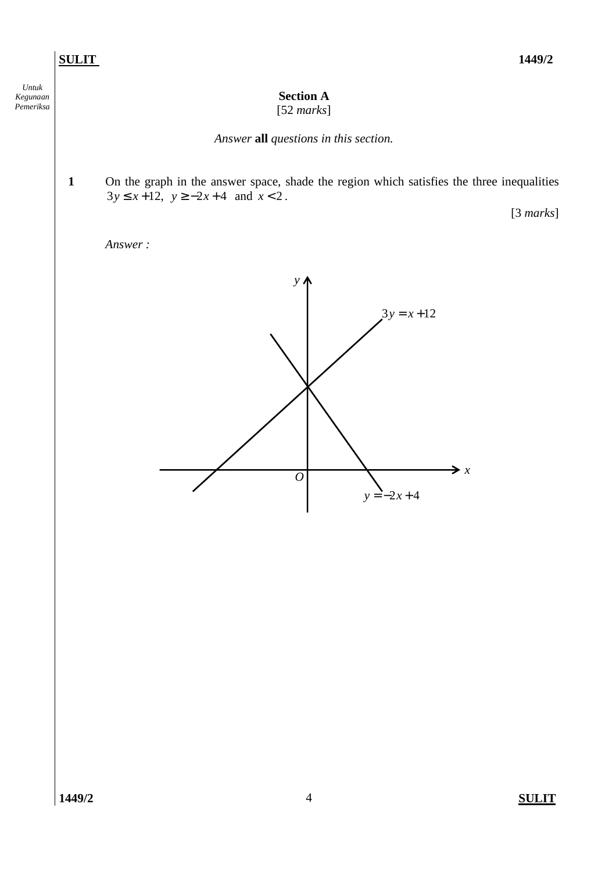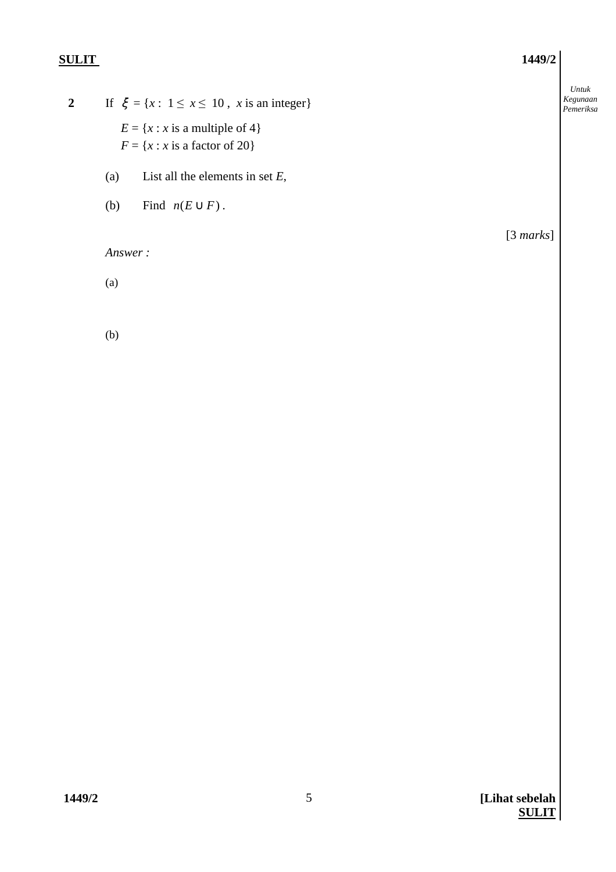**2** If  $\xi = \{x : 1 \le x \le 10, x \text{ is an integer}\}\$  $E = \{x : x \text{ is a multiple of } 4\}$  $F = \{x : x \text{ is a factor of } 20\}$ 

- (a) List all the elements in set *E*,
- (b) Find  $n(E \cup F)$ .

*Answer :* 

(a)

(b)

[3 *marks*]

*Untuk Kegunaan*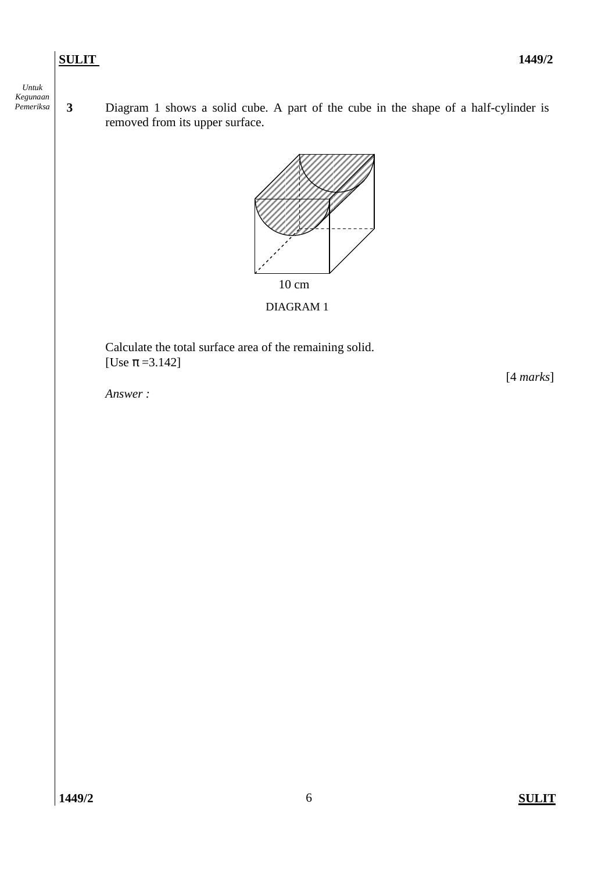*Untuk Kegunaan Pemeriksa*

**3** Diagram 1 shows a solid cube. A part of the cube in the shape of a half-cylinder is removed from its upper surface.



## DIAGRAM 1

 Calculate the total surface area of the remaining solid. [Use  $\pi$  =3.142]

*Answer :* 

[4 *marks*]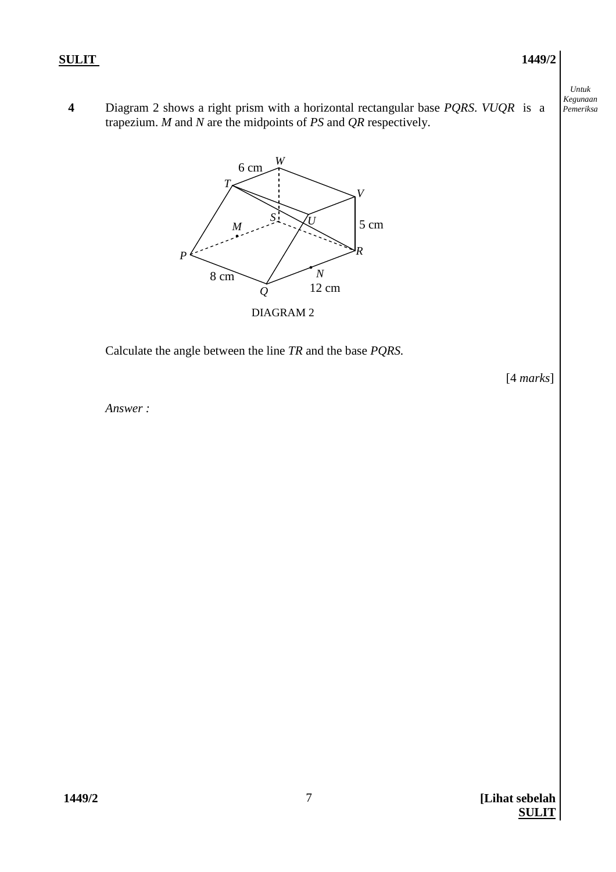**4** Diagram 2 shows a right prism with a horizontal rectangular base *PQRS*. *VUQR* is a trapezium. *M* and *N* are the midpoints of *PS* and *QR* respectively.



Calculate the angle between the line *TR* and the base *PQRS.*

[4 *marks*]

*Answer :*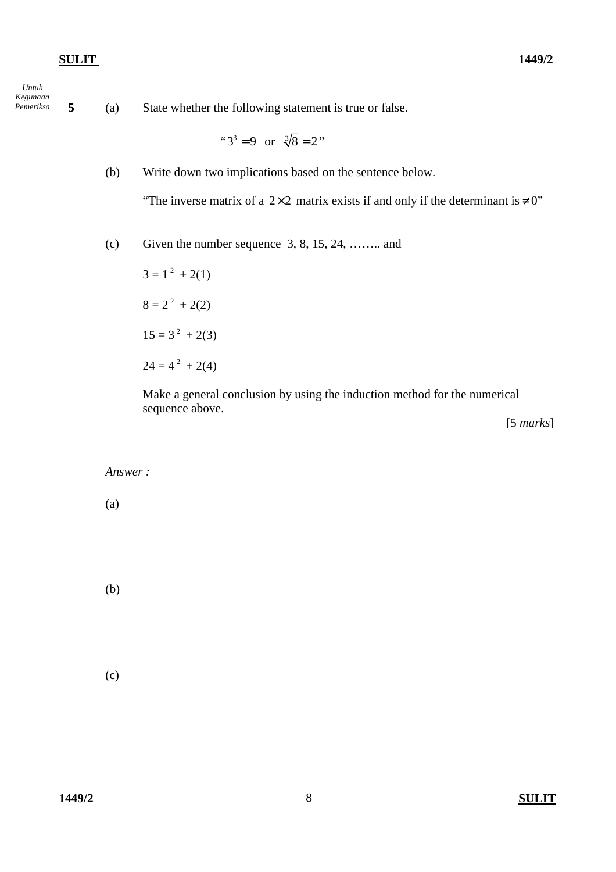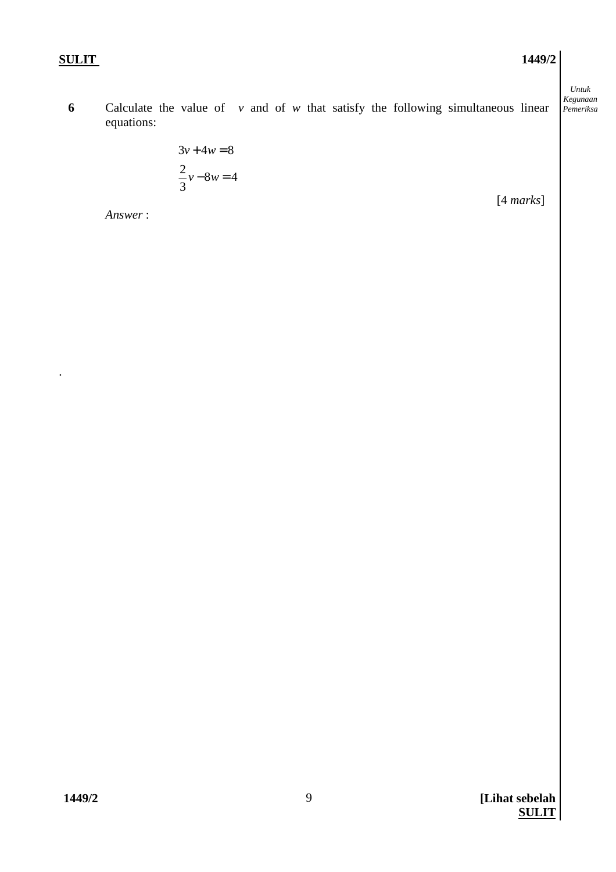.

*Untuk* 

*Kegunaan*  **6** Calculate the value of *v* and of *w* that satisfy the following simultaneous linear *Pemeriksa*  equations:

$$
3v + 4w = 8
$$

$$
\frac{2}{3}v - 8w = 4
$$

*Answer* :

[4 *marks*]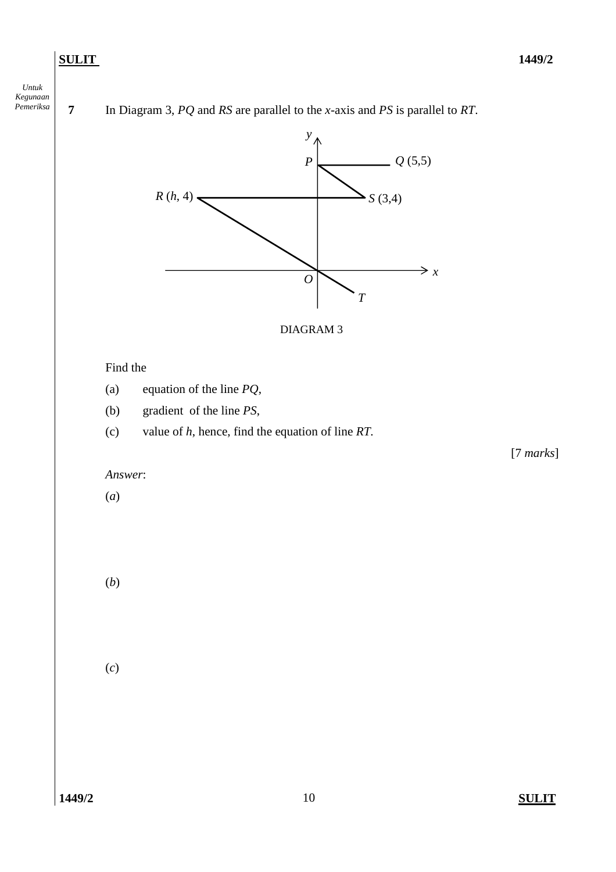

*Permerical Temmerical <i>Pg* and *RS* are parallel to the *x*-axis and *PS* is parallel to *RT*.

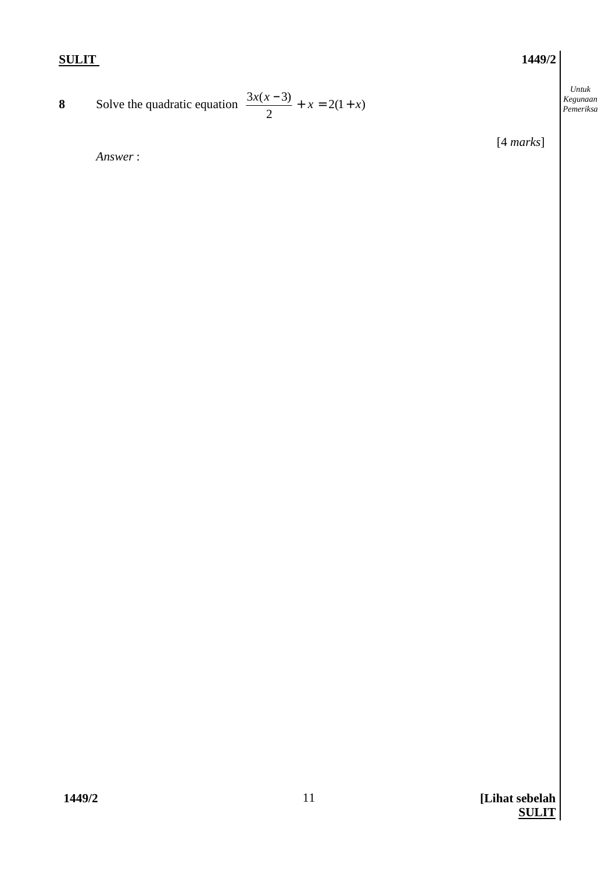*Untuk Kegunaan* 

**8** Solve the quadratic equation  $\frac{3x(x-3)}{2} + x = 2(1+x)$   $\left\{\n\begin{array}{l}\n\text{Regularian} \\
\text{Perneriksa}\n\end{array}\n\right\}$  $\frac{3x(x-3)}{2} + x = 2(1+x)$ 

[4 *marks*]

 *Answer* :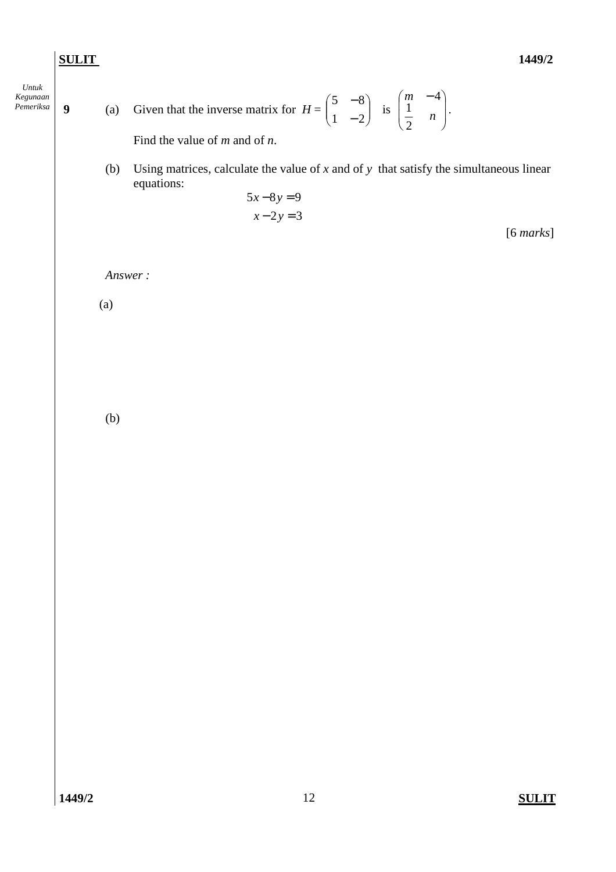*Untuk Kegunaan* 

*Pemeriksa* **9** (a) Given that the inverse matrix for  $H = \begin{bmatrix} 5 & 0 \\ 1 & 2 \end{bmatrix}$ J  $\backslash$  $\overline{\phantom{a}}$ l ſ − −  $1 - 2$  $5 - 8$ is  $\left|\begin{array}{cc} n & -1 \\ 1 & n \end{array}\right|$ J  $\backslash$  $\mathsf{I}$  $\mathsf{L}$ l (m – *n m* 2 1 4 .

Find the value of *m* and of *n*.

 (b) Using matrices, calculate the value of *x* and of *y* that satisfy the simultaneous linear equations:

$$
5x-8y=9
$$
  

$$
x-2y=3
$$
 [6 marks]

*Answer :* 

(a)

(b)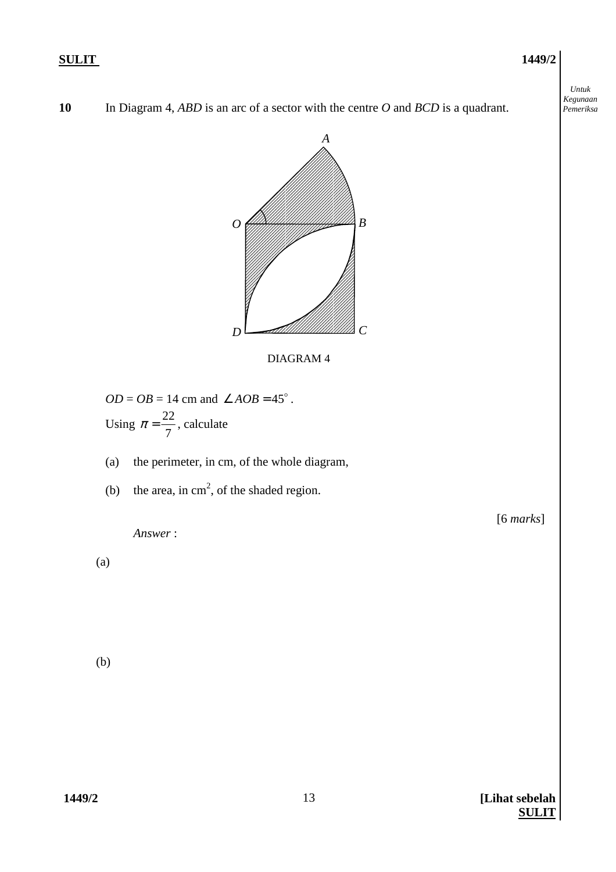*Untuk Kegunaan Pemeriksa* 





DIAGRAM 4

- $OD = OB = 14$  cm and  $\angle AOB = 45^\circ$ . Using 7  $\pi = \frac{22}{7}$ , calculate
- (a) the perimeter, in cm, of the whole diagram,
- (b) the area, in  $cm<sup>2</sup>$ , of the shaded region.

[6 *marks*]

 *Answer* :

(a)

(b)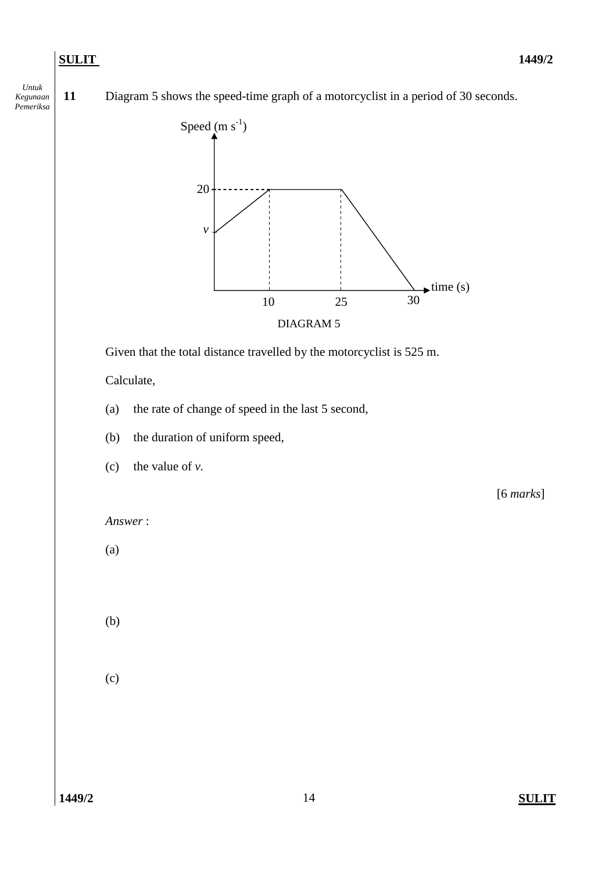*Untuk Kegunaan Pemeriksa*

**11** Diagram 5 shows the speed-time graph of a motorcyclist in a period of 30 seconds.



Given that the total distance travelled by the motorcyclist is 525 m.

Calculate,

- (a) the rate of change of speed in the last 5 second,
- (b) the duration of uniform speed,
- (c) the value of *v.*

[6 *marks*]

```
Answer :
```
(a)

(b)

(c)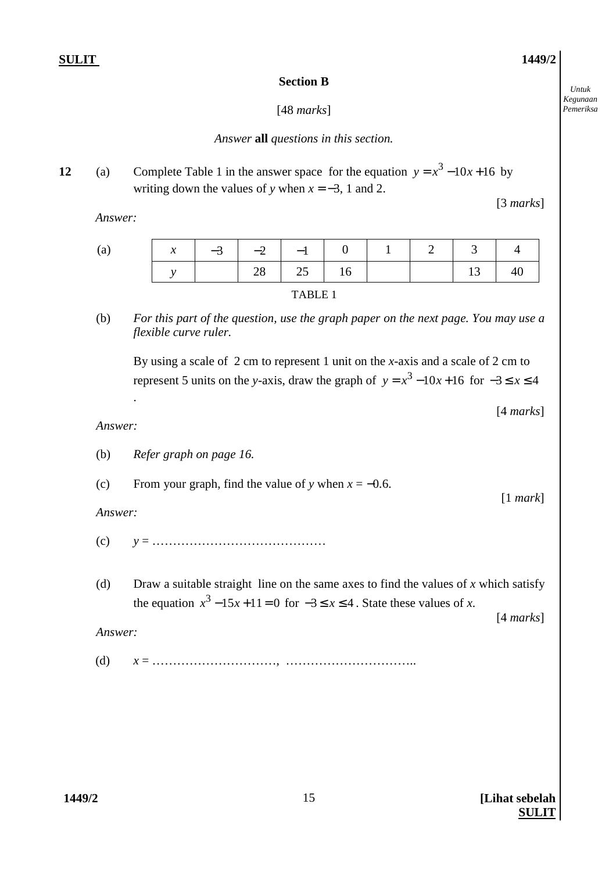*Untuk Kegunaan Pemeriksa* 

## **Section B**

# [48 *marks*]

# *Answer* **all** *questions in this section.*

**12** (a) Complete Table 1 in the answer space for the equation  $y = x^3 - 10x + 16$  by writing down the values of *y* when  $x = -3$ , 1 and 2.

 *Answer:* 

| (a) | $\mathcal{X}$ |  |          | $-3$   $-2$   $-1$   0   1   2   3   4 |                                                    |    |
|-----|---------------|--|----------|----------------------------------------|----------------------------------------------------|----|
|     |               |  | 28 25 16 |                                        | $\begin{array}{ c c c c c } \hline \end{array}$ 13 | 40 |
|     |               |  |          |                                        |                                                    |    |

(b) *For this part of the question, use the graph paper on the next page. You may use a flexible curve ruler.* 

By using a scale of 2 cm to represent 1 unit on the *x*-axis and a scale of 2 cm to represent 5 units on the *y*-axis, draw the graph of  $y = x^3 - 10x + 16$  for  $-3 \le x \le 4$ 

[4 *marks*]

[3 *marks*]

## *Answer:*

.

| (b)     | Refer graph on page 16.                                                                                                                                                   |                     |
|---------|---------------------------------------------------------------------------------------------------------------------------------------------------------------------------|---------------------|
| (c)     | From your graph, find the value of y when $x = -0.6$ .                                                                                                                    |                     |
| Answer: |                                                                                                                                                                           | [1 mark]            |
| (c)     |                                                                                                                                                                           |                     |
| (d)     | Draw a suitable straight line on the same axes to find the values of x which satisfy<br>the equation $x^3 - 15x + 11 = 0$ for $-3 \le x \le 4$ . State these values of x. | $[4 \text{ marks}]$ |
| Answer: |                                                                                                                                                                           |                     |
| (d)     |                                                                                                                                                                           |                     |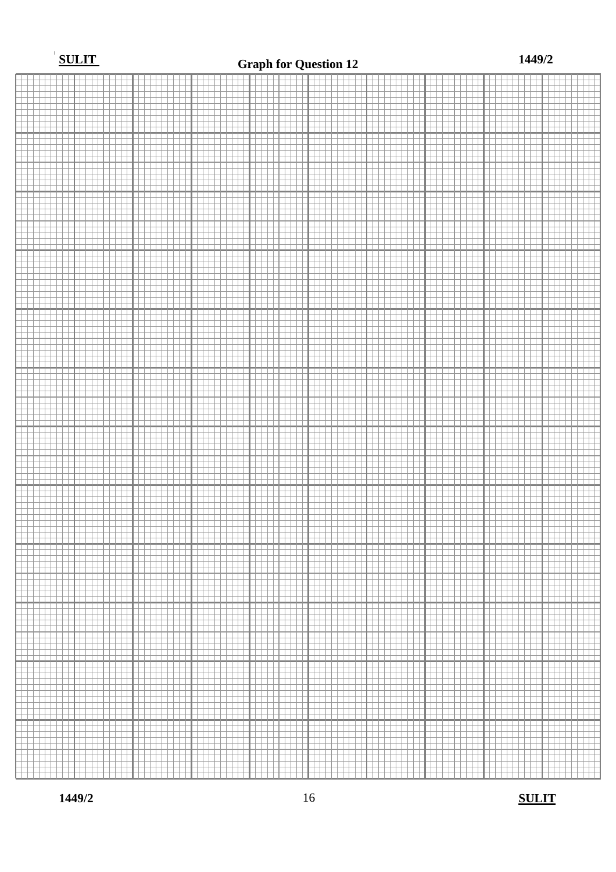

**1449/2** 16 **SULIT**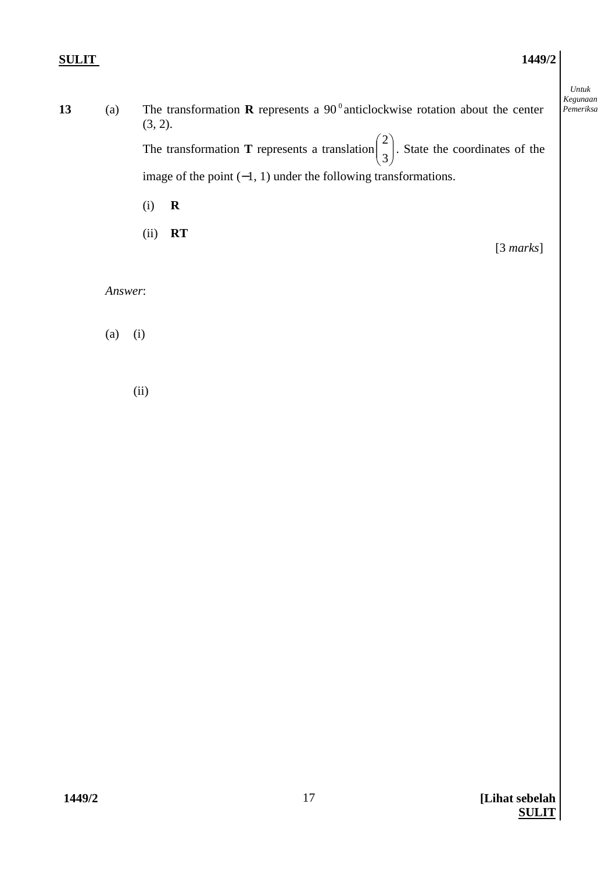*Untuk* 

| 13 | (a) | The transformation <b>R</b> represents a 90 $^{\circ}$ anticlockwise rotation about the center<br>$(3, 2)$ .               | Kegunaan<br>Pemeriksa |
|----|-----|----------------------------------------------------------------------------------------------------------------------------|-----------------------|
|    |     | The transformation <b>T</b> represents a translation $\begin{pmatrix} 2 \\ 2 \end{pmatrix}$ . State the coordinates of the |                       |
|    |     | image of the point $(-1, 1)$ under the following transformations.                                                          |                       |

- (i) **R**
- (ii) **RT**

[3 *marks*]

### *Answer*:

(a) (i)

(ii)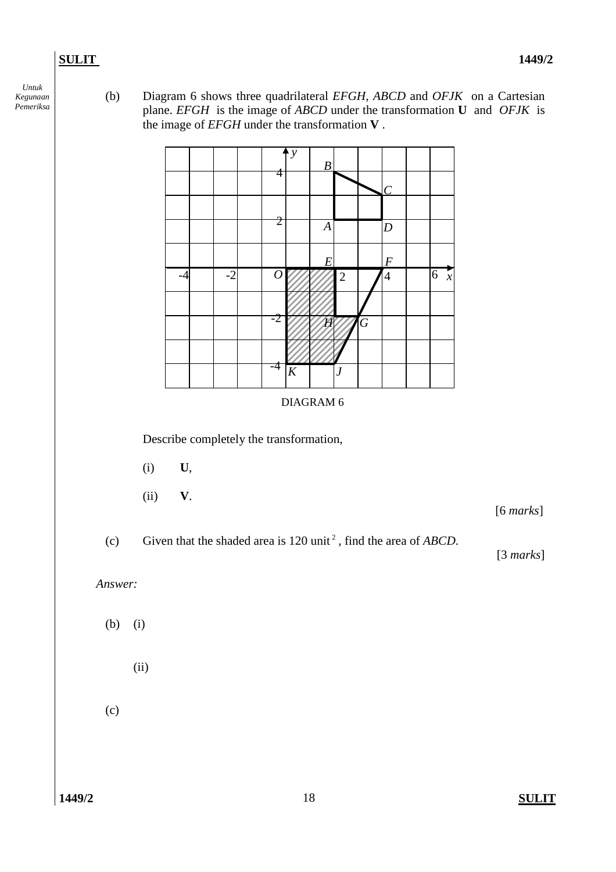*Untuk Kegunaan Pemeriksa*

(b) Diagram 6 shows three quadrilateral *EFGH, ABCD* and *OFJK* on a Cartesian plane. *EFGH* is the image of *ABCD* under the transformation **U** and *OFJK* is the image of *EFGH* under the transformation **V** .

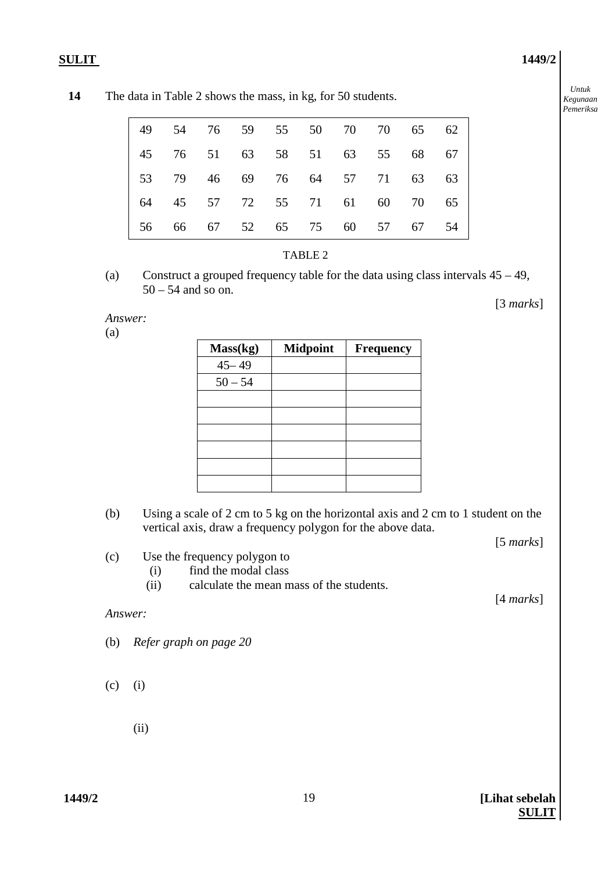*Untuk Kegunaan Pemeriksa* 

|                               |  |  | 49 54 76 59 55 50 70 70 65 62 |  |    |
|-------------------------------|--|--|-------------------------------|--|----|
|                               |  |  | 45 76 51 63 58 51 63 55 68 67 |  |    |
| 53 79 46 69 76 64 57 71 63 63 |  |  |                               |  |    |
| 64 45 57 72 55 71 61 60 70 65 |  |  |                               |  |    |
| 56 66 67 52 65 75 60 57 67    |  |  |                               |  | 54 |



#### TABLE 2

(a) Construct a grouped frequency table for the data using class intervals 45 – 49,  $50 - 54$  and so on.

#### *Answer:*

(a)

| Mass(kg)  | <b>Midpoint</b> | Frequency |
|-----------|-----------------|-----------|
| $45 - 49$ |                 |           |
| $50 - 54$ |                 |           |
|           |                 |           |
|           |                 |           |
|           |                 |           |
|           |                 |           |
|           |                 |           |
|           |                 |           |

(b) Using a scale of 2 cm to 5 kg on the horizontal axis and 2 cm to 1 student on the vertical axis, draw a frequency polygon for the above data.

[5 *marks*]

[3 *marks*]

- (c) Use the frequency polygon to
	- (i) find the modal class
	- (ii) calculate the mean mass of the students.

[4 *marks*]

#### *Answer:*

- (b) *Refer graph on page 20*
- $(c)$  (i)
	- (ii)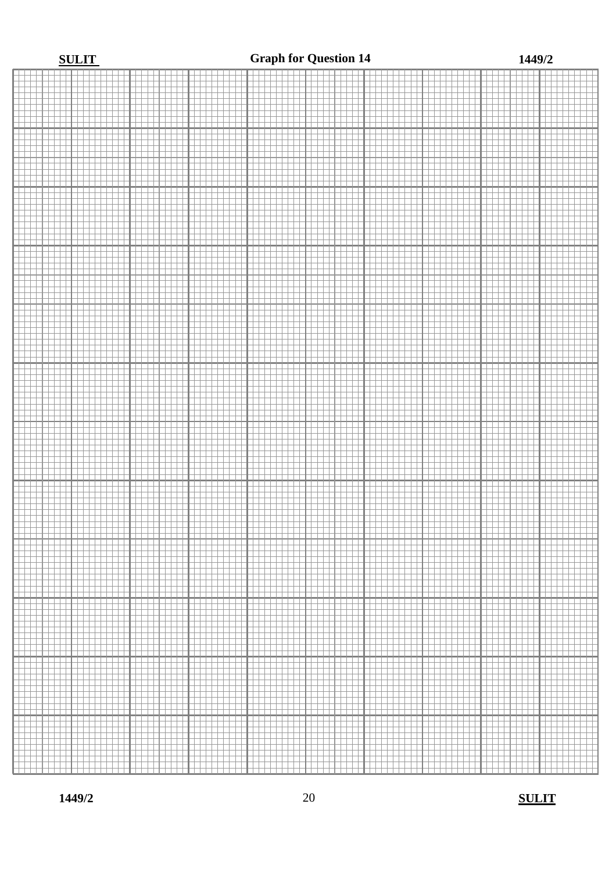#### **SULIT 1449/2 Graph for Question 14**

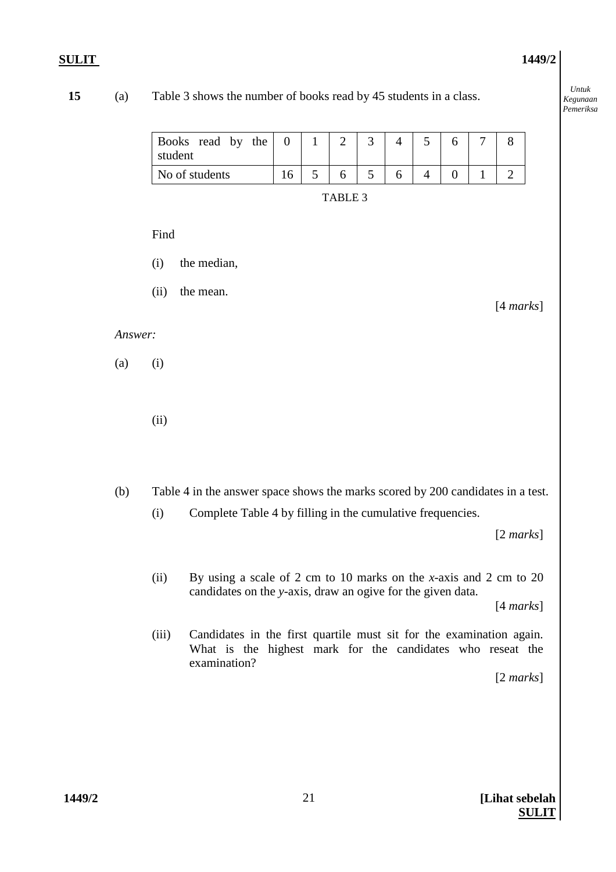*Untuk Kegunaan Pemeriksa* 

## **15** (a) Table 3 shows the number of books read by 45 students in a class.

| Books read by the<br>student |  |  |  |  |  |
|------------------------------|--|--|--|--|--|
| No of students               |  |  |  |  |  |

#### Find

- (i) the median,
- (ii) the mean.

#### *Answer:*

(a) (i)

(ii)

(b) Table 4 in the answer space shows the marks scored by 200 candidates in a test.

(i) Complete Table 4 by filling in the cumulative frequencies.

[2 *marks*]

[4 *marks*]

 (ii) By using a scale of 2 cm to 10 marks on the *x*-axis and 2 cm to 20 candidates on the *y*-axis, draw an ogive for the given data.

[4 *marks*]

 (iii) Candidates in the first quartile must sit for the examination again. What is the highest mark for the candidates who reseat the examination?

[2 *marks*]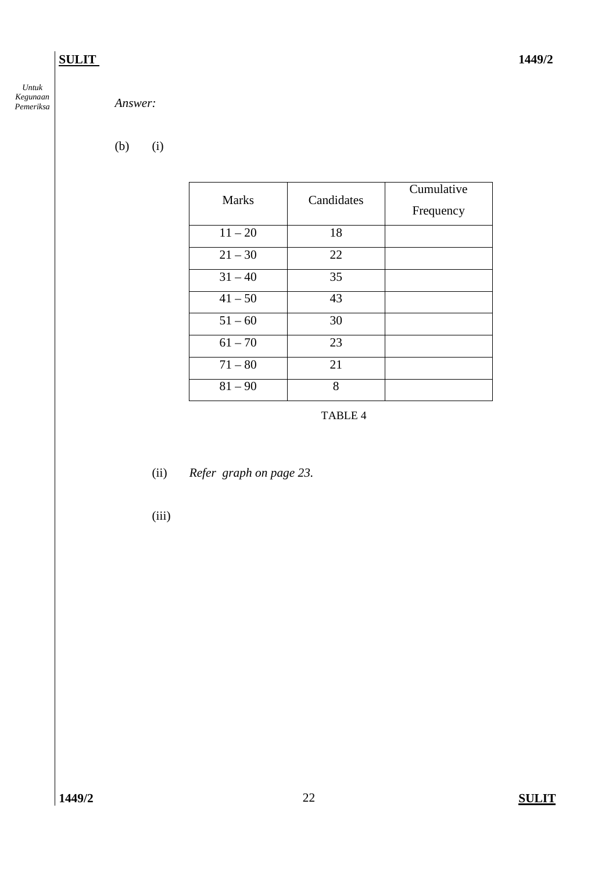*Untuk Kegunaan* 

# *Answer:*

(b) (i)

| <b>Marks</b> | Candidates | Cumulative<br>Frequency |
|--------------|------------|-------------------------|
| $11 - 20$    | 18         |                         |
| $21 - 30$    | 22         |                         |
| $31 - 40$    | 35         |                         |
| $41 - 50$    | 43         |                         |
| $51 - 60$    | 30         |                         |
| $61 - 70$    | 23         |                         |
| $71 - 80$    | 21         |                         |
| $81 - 90$    | 8          |                         |

TABLE 4

- (ii) *Refer graph on page 23.*
- (iii)